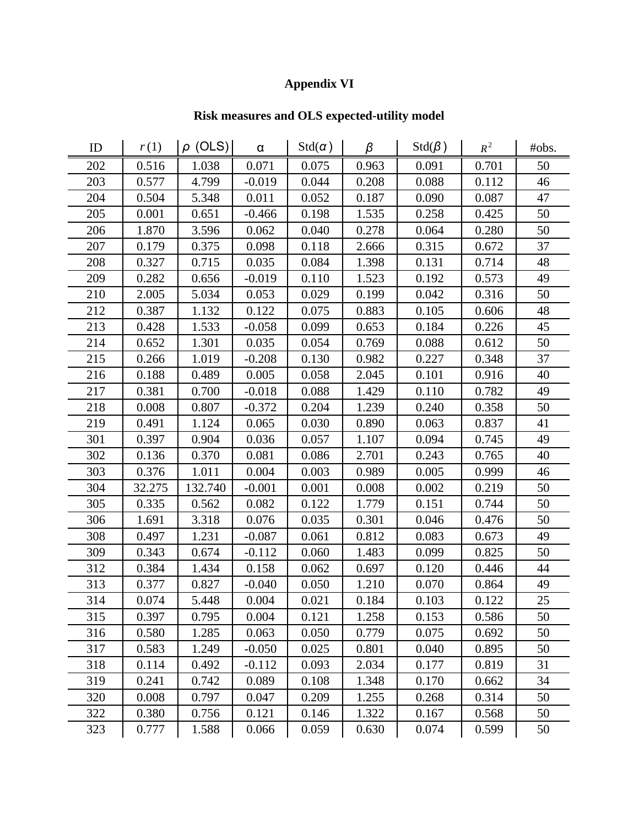## **Appendix VI**

## **Risk measures and OLS expected-utility model**

| ID  | r(1)   | $\rho$ (OLS) | $\alpha$ | $Std(\alpha)$ | β     | $Std(\beta)$ | $R^2$ | #obs. |
|-----|--------|--------------|----------|---------------|-------|--------------|-------|-------|
| 202 | 0.516  | 1.038        | 0.071    | 0.075         | 0.963 | 0.091        | 0.701 | 50    |
| 203 | 0.577  | 4.799        | $-0.019$ | 0.044         | 0.208 | 0.088        | 0.112 | 46    |
| 204 | 0.504  | 5.348        | 0.011    | 0.052         | 0.187 | 0.090        | 0.087 | 47    |
| 205 | 0.001  | 0.651        | $-0.466$ | 0.198         | 1.535 | 0.258        | 0.425 | 50    |
| 206 | 1.870  | 3.596        | 0.062    | 0.040         | 0.278 | 0.064        | 0.280 | 50    |
| 207 | 0.179  | 0.375        | 0.098    | 0.118         | 2.666 | 0.315        | 0.672 | 37    |
| 208 | 0.327  | 0.715        | 0.035    | 0.084         | 1.398 | 0.131        | 0.714 | 48    |
| 209 | 0.282  | 0.656        | $-0.019$ | 0.110         | 1.523 | 0.192        | 0.573 | 49    |
| 210 | 2.005  | 5.034        | 0.053    | 0.029         | 0.199 | 0.042        | 0.316 | 50    |
| 212 | 0.387  | 1.132        | 0.122    | 0.075         | 0.883 | 0.105        | 0.606 | 48    |
| 213 | 0.428  | 1.533        | $-0.058$ | 0.099         | 0.653 | 0.184        | 0.226 | 45    |
| 214 | 0.652  | 1.301        | 0.035    | 0.054         | 0.769 | 0.088        | 0.612 | 50    |
| 215 | 0.266  | 1.019        | $-0.208$ | 0.130         | 0.982 | 0.227        | 0.348 | 37    |
| 216 | 0.188  | 0.489        | 0.005    | 0.058         | 2.045 | 0.101        | 0.916 | 40    |
| 217 | 0.381  | 0.700        | $-0.018$ | 0.088         | 1.429 | 0.110        | 0.782 | 49    |
| 218 | 0.008  | 0.807        | $-0.372$ | 0.204         | 1.239 | 0.240        | 0.358 | 50    |
| 219 | 0.491  | 1.124        | 0.065    | 0.030         | 0.890 | 0.063        | 0.837 | 41    |
| 301 | 0.397  | 0.904        | 0.036    | 0.057         | 1.107 | 0.094        | 0.745 | 49    |
| 302 | 0.136  | 0.370        | 0.081    | 0.086         | 2.701 | 0.243        | 0.765 | 40    |
| 303 | 0.376  | 1.011        | 0.004    | 0.003         | 0.989 | 0.005        | 0.999 | 46    |
| 304 | 32.275 | 132.740      | $-0.001$ | 0.001         | 0.008 | 0.002        | 0.219 | 50    |
| 305 | 0.335  | 0.562        | 0.082    | 0.122         | 1.779 | 0.151        | 0.744 | 50    |
| 306 | 1.691  | 3.318        | 0.076    | 0.035         | 0.301 | 0.046        | 0.476 | 50    |
| 308 | 0.497  | 1.231        | $-0.087$ | 0.061         | 0.812 | 0.083        | 0.673 | 49    |
| 309 | 0.343  | 0.674        | $-0.112$ | 0.060         | 1.483 | 0.099        | 0.825 | 50    |
| 312 | 0.384  | 1.434        | 0.158    | 0.062         | 0.697 | 0.120        | 0.446 | 44    |
| 313 | 0.377  | 0.827        | $-0.040$ | 0.050         | 1.210 | 0.070        | 0.864 | 49    |
| 314 | 0.074  | 5.448        | 0.004    | 0.021         | 0.184 | 0.103        | 0.122 | 25    |
| 315 | 0.397  | 0.795        | 0.004    | 0.121         | 1.258 | 0.153        | 0.586 | 50    |
| 316 | 0.580  | 1.285        | 0.063    | 0.050         | 0.779 | 0.075        | 0.692 | 50    |
| 317 | 0.583  | 1.249        | $-0.050$ | 0.025         | 0.801 | 0.040        | 0.895 | 50    |
| 318 | 0.114  | 0.492        | $-0.112$ | 0.093         | 2.034 | 0.177        | 0.819 | 31    |
| 319 | 0.241  | 0.742        | 0.089    | 0.108         | 1.348 | 0.170        | 0.662 | 34    |
| 320 | 0.008  | 0.797        | 0.047    | 0.209         | 1.255 | 0.268        | 0.314 | 50    |
| 322 | 0.380  | 0.756        | 0.121    | 0.146         | 1.322 | 0.167        | 0.568 | 50    |
| 323 | 0.777  | 1.588        | 0.066    | 0.059         | 0.630 | 0.074        | 0.599 | 50    |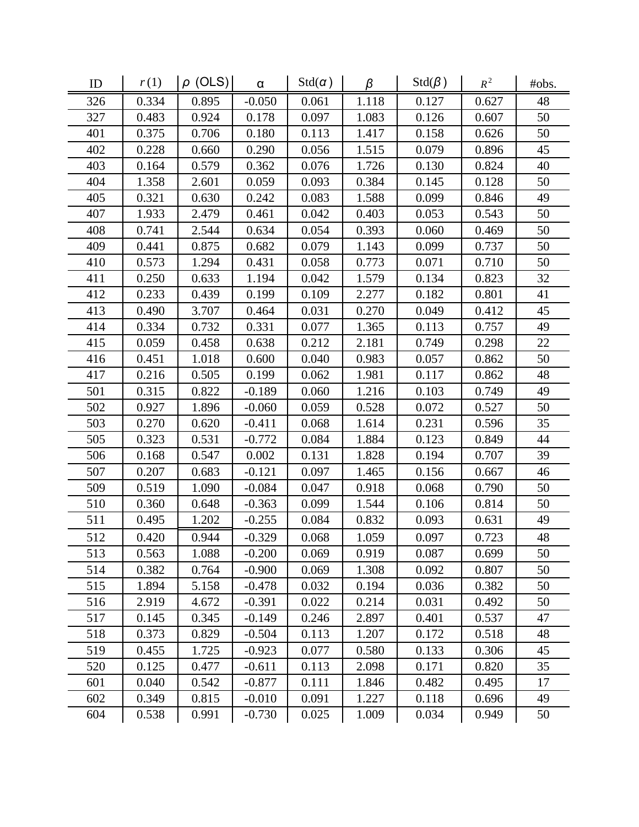| ID  | r(1)  | $\rho$ (OLS) | $\alpha$ | $Std(\alpha)$ | β     | $Std(\beta)$ | $R^2$ | #obs. |
|-----|-------|--------------|----------|---------------|-------|--------------|-------|-------|
| 326 | 0.334 | 0.895        | $-0.050$ | 0.061         | 1.118 | 0.127        | 0.627 | 48    |
| 327 | 0.483 | 0.924        | 0.178    | 0.097         | 1.083 | 0.126        | 0.607 | 50    |
| 401 | 0.375 | 0.706        | 0.180    | 0.113         | 1.417 | 0.158        | 0.626 | 50    |
| 402 | 0.228 | 0.660        | 0.290    | 0.056         | 1.515 | 0.079        | 0.896 | 45    |
| 403 | 0.164 | 0.579        | 0.362    | 0.076         | 1.726 | 0.130        | 0.824 | 40    |
| 404 | 1.358 | 2.601        | 0.059    | 0.093         | 0.384 | 0.145        | 0.128 | 50    |
| 405 | 0.321 | 0.630        | 0.242    | 0.083         | 1.588 | 0.099        | 0.846 | 49    |
| 407 | 1.933 | 2.479        | 0.461    | 0.042         | 0.403 | 0.053        | 0.543 | 50    |
| 408 | 0.741 | 2.544        | 0.634    | 0.054         | 0.393 | 0.060        | 0.469 | 50    |
| 409 | 0.441 | 0.875        | 0.682    | 0.079         | 1.143 | 0.099        | 0.737 | 50    |
| 410 | 0.573 | 1.294        | 0.431    | 0.058         | 0.773 | 0.071        | 0.710 | 50    |
| 411 | 0.250 | 0.633        | 1.194    | 0.042         | 1.579 | 0.134        | 0.823 | 32    |
| 412 | 0.233 | 0.439        | 0.199    | 0.109         | 2.277 | 0.182        | 0.801 | 41    |
| 413 | 0.490 | 3.707        | 0.464    | 0.031         | 0.270 | 0.049        | 0.412 | 45    |
| 414 | 0.334 | 0.732        | 0.331    | 0.077         | 1.365 | 0.113        | 0.757 | 49    |
| 415 | 0.059 | 0.458        | 0.638    | 0.212         | 2.181 | 0.749        | 0.298 | 22    |
| 416 | 0.451 | 1.018        | 0.600    | 0.040         | 0.983 | 0.057        | 0.862 | 50    |
| 417 | 0.216 | 0.505        | 0.199    | 0.062         | 1.981 | 0.117        | 0.862 | 48    |
| 501 | 0.315 | 0.822        | $-0.189$ | 0.060         | 1.216 | 0.103        | 0.749 | 49    |
| 502 | 0.927 | 1.896        | $-0.060$ | 0.059         | 0.528 | 0.072        | 0.527 | 50    |
| 503 | 0.270 | 0.620        | $-0.411$ | 0.068         | 1.614 | 0.231        | 0.596 | 35    |
| 505 | 0.323 | 0.531        | $-0.772$ | 0.084         | 1.884 | 0.123        | 0.849 | 44    |
| 506 | 0.168 | 0.547        | 0.002    | 0.131         | 1.828 | 0.194        | 0.707 | 39    |
| 507 | 0.207 | 0.683        | $-0.121$ | 0.097         | 1.465 | 0.156        | 0.667 | 46    |
| 509 | 0.519 | 1.090        | $-0.084$ | 0.047         | 0.918 | 0.068        | 0.790 | 50    |
| 510 | 0.360 | 0.648        | $-0.363$ | 0.099         | 1.544 | 0.106        | 0.814 | 50    |
| 511 | 0.495 | 1.202        | $-0.255$ | 0.084         | 0.832 | 0.093        | 0.631 | 49    |
| 512 | 0.420 | 0.944        | $-0.329$ | 0.068         | 1.059 | 0.097        | 0.723 | 48    |
| 513 | 0.563 | 1.088        | $-0.200$ | 0.069         | 0.919 | 0.087        | 0.699 | 50    |
| 514 | 0.382 | 0.764        | $-0.900$ | 0.069         | 1.308 | 0.092        | 0.807 | 50    |
| 515 | 1.894 | 5.158        | $-0.478$ | 0.032         | 0.194 | 0.036        | 0.382 | 50    |
| 516 | 2.919 | 4.672        | $-0.391$ | 0.022         | 0.214 | 0.031        | 0.492 | 50    |
| 517 | 0.145 | 0.345        | $-0.149$ | 0.246         | 2.897 | 0.401        | 0.537 | 47    |
| 518 | 0.373 | 0.829        | $-0.504$ | 0.113         | 1.207 | 0.172        | 0.518 | 48    |
| 519 | 0.455 | 1.725        | $-0.923$ | 0.077         | 0.580 | 0.133        | 0.306 | 45    |
| 520 | 0.125 | 0.477        | $-0.611$ | 0.113         | 2.098 | 0.171        | 0.820 | 35    |
| 601 | 0.040 | 0.542        | $-0.877$ | 0.111         | 1.846 | 0.482        | 0.495 | 17    |
| 602 | 0.349 | 0.815        | $-0.010$ | 0.091         | 1.227 | 0.118        | 0.696 | 49    |
| 604 | 0.538 | 0.991        | $-0.730$ | 0.025         | 1.009 | 0.034        | 0.949 | 50    |